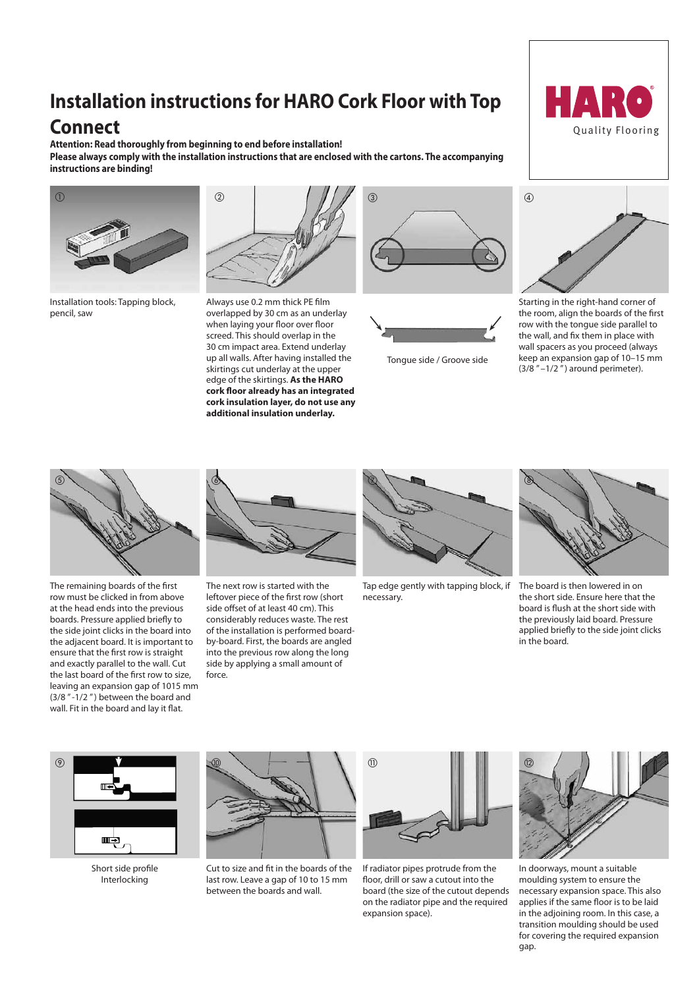# **Installation instructions for HARO Cork Floor with Top**

# **Connect**

**Attention: Read thoroughly from beginning to end before installation! Please always comply with the installation instructions that are enclosed with the cartons. The accompanying instructions are binding!**



Installation tools: Tapping block, pencil, saw



when laying your floor over floor screed. This should overlap in the Always use 0.2 mm thick PE film overlapped by 30 cm as an underlay 30 cm impact area. Extend underlay up all walls. After having installed the skirtings cut underlay at the upper edge of the skirtings. **As the HARO cork floor already has an integrated cork insulation layer, do not use any additional insulation underlay.**





Tongue side / Groove side



03

05



row with the tongue side parallel to Starting in the right-hand corner of the room, align the boards of the first the wall, and fix them in place with wall spacers as you proceed (always keep an expansion gap of 10–15 mm  $(3/8" - 1/2")$  around perimeter).



The remaining boards of the first row must be clicked in from above at the head ends into the previous boards. Pressure applied briefly to the side joint clicks in the board into the adjacent board. It is important to ensure that the first row is straight and exactly parallel to the wall. Cut the last board of the first row to size, leaving an expansion gap of 1015 mm (3/8 " -1/2 " ) between the board and wall. Fit in the board and lay it flat.



07 04 considerably reduces waste. The rest 09 side offset of at least 40 cm). This The next row is started with the leftover piece of the first row (short of the installation is performed boardby-board. First, the boards are angled into the previous row along the long side by applying a small amount of force.



Tap edge gently with tapping block, if necessary.



board is flush at the short side with applied briefly to the side joint clicks The board is then lowered in on the short side. Ensure here that the the previously laid board. Pressure in the board.



Short side profile Interlocking



between the boards and wall. Cut to size and fit in the boards of the last row. Leave a gap of 10 to 15 mm



2 on the radiator pipe and the required expansion space). If radiator pipes protrude from the floor, drill or saw a cutout into the board (the size of the cutout depends



In doorways, mount a suitable moulding system to ensure the necessary expansion space. This also applies if the same floor is to be laid in the adjoining room. In this case, a transition moulding should be used for covering the required expansion gap.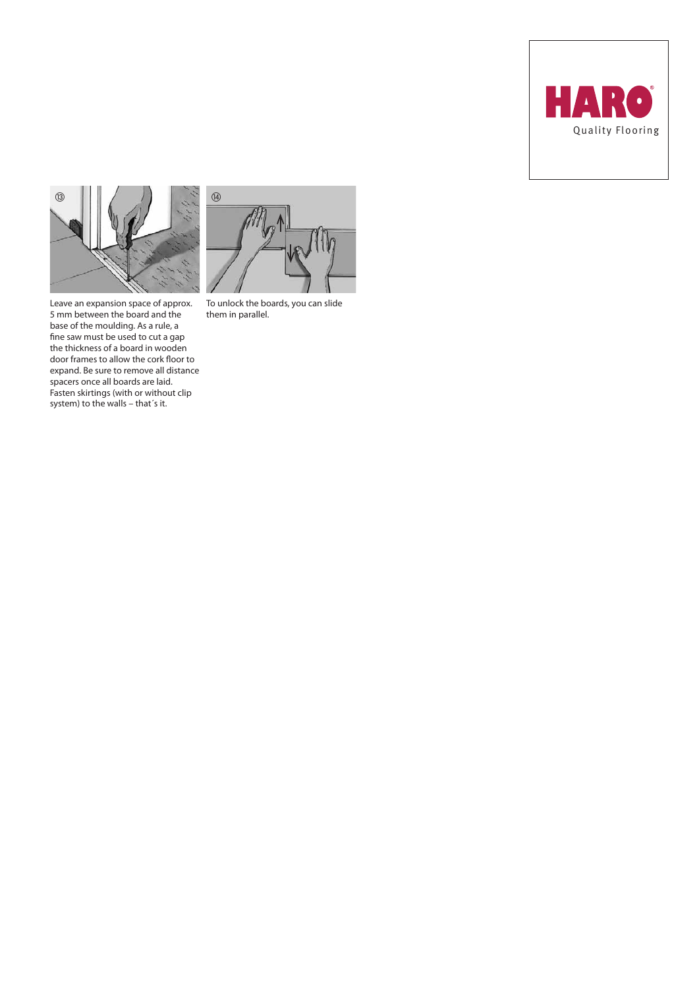



spacers once all boards are laid. Fasten skirtings (with or without clip system) to the walls – that´s it.





 $\circled{4}$  $\overline{a}$ 

To unlock the boards, you can slide them in parallel.